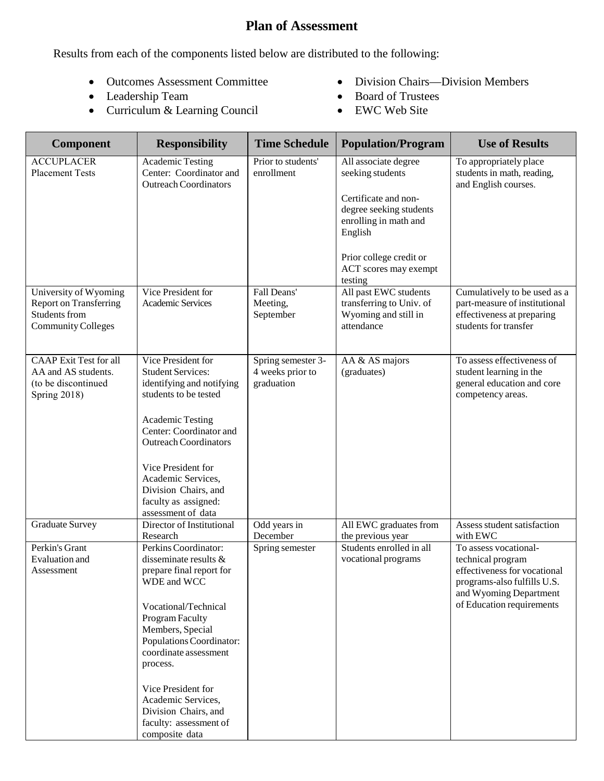## **Plan of Assessment**

Results from each of the components listed below are distributed to the following:

- Outcomes Assessment Committee
- Leadership Team
- Curriculum & Learning Council
- Division Chairs—Division Members
- Board of Trustees
- EWC Web Site

| <b>Responsibility</b>                                                                                                                                                                                                                                                                                    | <b>Time Schedule</b>                                             | <b>Population/Program</b>                                                                                                       | <b>Use of Results</b>                                                                                                                                                        |
|----------------------------------------------------------------------------------------------------------------------------------------------------------------------------------------------------------------------------------------------------------------------------------------------------------|------------------------------------------------------------------|---------------------------------------------------------------------------------------------------------------------------------|------------------------------------------------------------------------------------------------------------------------------------------------------------------------------|
| <b>Academic Testing</b><br>Center: Coordinator and<br><b>Outreach Coordinators</b>                                                                                                                                                                                                                       | Prior to students'<br>enrollment                                 | All associate degree<br>seeking students<br>Certificate and non-<br>degree seeking students<br>enrolling in math and<br>English | To appropriately place<br>students in math, reading,<br>and English courses.                                                                                                 |
|                                                                                                                                                                                                                                                                                                          |                                                                  | ACT scores may exempt                                                                                                           |                                                                                                                                                                              |
| Vice President for<br>Academic Services                                                                                                                                                                                                                                                                  | Fall Deans'<br>Meeting,<br>September                             | All past EWC students<br>transferring to Univ. of<br>Wyoming and still in<br>attendance                                         | Cumulatively to be used as a<br>part-measure of institutional<br>effectiveness at preparing<br>students for transfer                                                         |
| Vice President for<br><b>Student Services:</b><br>identifying and notifying<br>students to be tested<br><b>Academic Testing</b><br>Center: Coordinator and<br><b>Outreach Coordinators</b><br>Vice President for<br>Academic Services,<br>Division Chairs, and                                           | Spring semester 3-<br>4 weeks prior to<br>graduation             | AA & AS majors<br>(graduates)                                                                                                   | To assess effectiveness of<br>student learning in the<br>general education and core<br>competency areas.                                                                     |
| assessment of data<br>Director of Institutional                                                                                                                                                                                                                                                          |                                                                  |                                                                                                                                 | Assess student satisfaction                                                                                                                                                  |
| Research<br>Perkins Coordinator:<br>disseminate results &<br>prepare final report for<br>WDE and WCC<br>Vocational/Technical<br>Program Faculty<br>Members, Special<br>Populations Coordinator:<br>coordinate assessment<br>process.<br>Vice President for<br>Academic Services,<br>Division Chairs, and | December<br>Spring semester                                      | the previous year<br>Students enrolled in all<br>vocational programs                                                            | with EWC<br>To assess vocational-<br>technical program<br>effectiveness for vocational<br>programs-also fulfills U.S.<br>and Wyoming Department<br>of Education requirements |
|                                                                                                                                                                                                                                                                                                          | faculty as assigned:<br>faculty: assessment of<br>composite data | Odd years in                                                                                                                    | Prior college credit or<br>testing<br>All EWC graduates from                                                                                                                 |